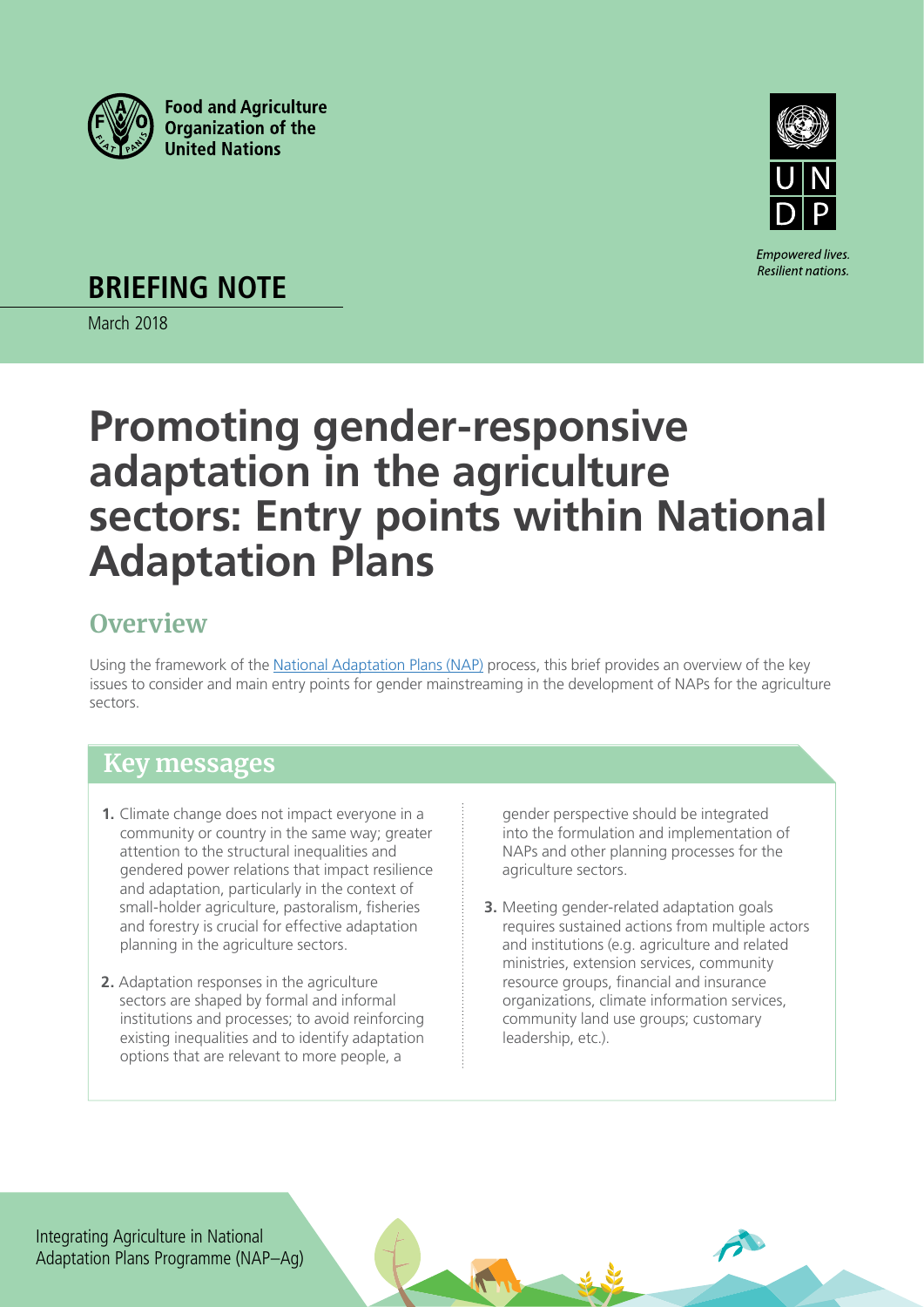



**Empowered lives.** Resilient nations.

**BRIEFING NOTE**

March 2018

# **Promoting gender-responsive adaptation in the agriculture sectors: Entry points within National Adaptation Plans**

# **Overview**

Using the framework of the [National Adaptation Plans \(NAP\)](http://unfccc.int/adaptation/workstreams/national_adaptation_plans/items/6057.php) process, this brief provides an overview of the key issues to consider and main entry points for gender mainstreaming in the development of NAPs for the agriculture sectors.

# **Key messages**

- **1.** Climate change does not impact everyone in a community or country in the same way; greater attention to the structural inequalities and gendered power relations that impact resilience and adaptation, particularly in the context of small-holder agriculture, pastoralism, fisheries and forestry is crucial for effective adaptation planning in the agriculture sectors.
- **2.** Adaptation responses in the agriculture sectors are shaped by formal and informal institutions and processes; to avoid reinforcing existing inequalities and to identify adaptation options that are relevant to more people, a

gender perspective should be integrated into the formulation and implementation of NAPs and other planning processes for the agriculture sectors.

**3.** Meeting gender-related adaptation goals requires sustained actions from multiple actors and institutions (e.g. agriculture and related ministries, extension services, community resource groups, financial and insurance organizations, climate information services, community land use groups; customary leadership, etc.).

Integrating Agriculture in National Adaptation Plans Programme (NAP–Ag)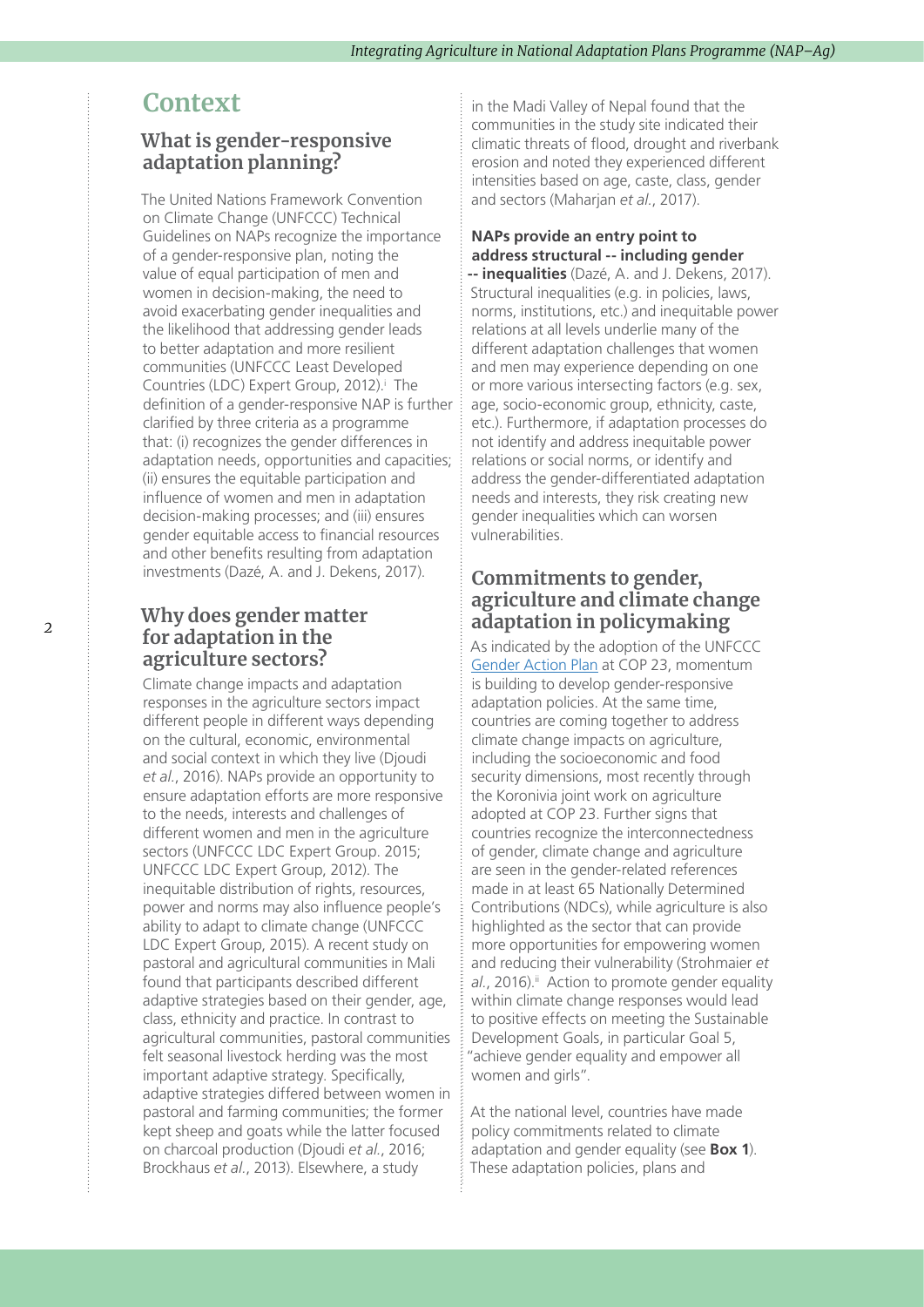### **Context**

### **What is gender-responsive adaptation planning?**

The United Nations Framework Convention on Climate Change (UNFCCC) Technical Guidelines on NAPs recognize the importance of a gender-responsive plan, noting the value of equal participation of men and women in decision-making, the need to avoid exacerbating gender inequalities and the likelihood that addressing gender leads to better adaptation and more resilient communities (UNFCCC Least Developed Countr[i](#page-10-0)es (LDC) Expert Group, 2012).<sup>i</sup> The definition of a gender-responsive NAP is further clarified by three criteria as a programme that: (i) recognizes the gender differences in adaptation needs, opportunities and capacities; (ii) ensures the equitable participation and influence of women and men in adaptation decision-making processes; and (iii) ensures gender equitable access to financial resources and other benefits resulting from adaptation investments (Dazé, A. and J. Dekens, 2017).

### **Why does gender matter for adaptation in the agriculture sectors?**

Climate change impacts and adaptation responses in the agriculture sectors impact different people in different ways depending on the cultural, economic, environmental and social context in which they live (Djoudi *et al.*, 2016). NAPs provide an opportunity to ensure adaptation efforts are more responsive to the needs, interests and challenges of different women and men in the agriculture sectors (UNFCCC LDC Expert Group. 2015; UNFCCC LDC Expert Group, 2012). The inequitable distribution of rights, resources, power and norms may also influence people's ability to adapt to climate change (UNFCCC LDC Expert Group, 2015). A recent study on pastoral and agricultural communities in Mali found that participants described different adaptive strategies based on their gender, age, class, ethnicity and practice. In contrast to agricultural communities, pastoral communities felt seasonal livestock herding was the most important adaptive strategy. Specifically, adaptive strategies differed between women in pastoral and farming communities; the former kept sheep and goats while the latter focused on charcoal production (Djoudi *et al.*, 2016; Brockhaus *et al.*, 2013). Elsewhere, a study

in the Madi Valley of Nepal found that the communities in the study site indicated their climatic threats of flood, drought and riverbank erosion and noted they experienced different intensities based on age, caste, class, gender and sectors (Maharjan *et al.*, 2017).

#### **NAPs provide an entry point to address structural -- including gender**

**-- inequalities** (Dazé, A. and J. Dekens, 2017). Structural inequalities (e.g. in policies, laws, norms, institutions, etc.) and inequitable power relations at all levels underlie many of the different adaptation challenges that women and men may experience depending on one or more various intersecting factors (e.g. sex, age, socio-economic group, ethnicity, caste, etc.). Furthermore, if adaptation processes do not identify and address inequitable power relations or social norms, or identify and address the gender-differentiated adaptation needs and interests, they risk creating new gender inequalities which can worsen vulnerabilities.

### **Commitments to gender, agriculture and climate change adaptation in policymaking**

As indicated by the adoption of the UNFCCC [Gender Action Plan](https://unfccc.int/files/meetings/bonn_nov_2017/application/pdf/cp23_auv_gender.pdf) at COP 23, momentum is building to develop gender-responsive adaptation policies. At the same time, countries are coming together to address climate change impacts on agriculture, including the socioeconomic and food security dimensions, most recently through the Koronivia joint work on agriculture adopted at COP 23. Further signs that countries recognize the interconnectedness of gender, climate change and agriculture are seen in the gender-related references made in at least 65 Nationally Determined Contributions (NDCs), while agriculture is also highlighted as the sector that can provide more opportunities for empowering women and reducing their vulnerability (Strohmaier *et*  al., 2016).<sup>ii</sup> Action to promote gender equality within climate change responses would lead to positive effects on meeting the Sustainable Development Goals, in particular Goal 5, "achieve gender equality and empower all women and girls".

At the national level, countries have made policy commitments related to climate adaptation and gender equality (see **Box 1**). These adaptation policies, plans and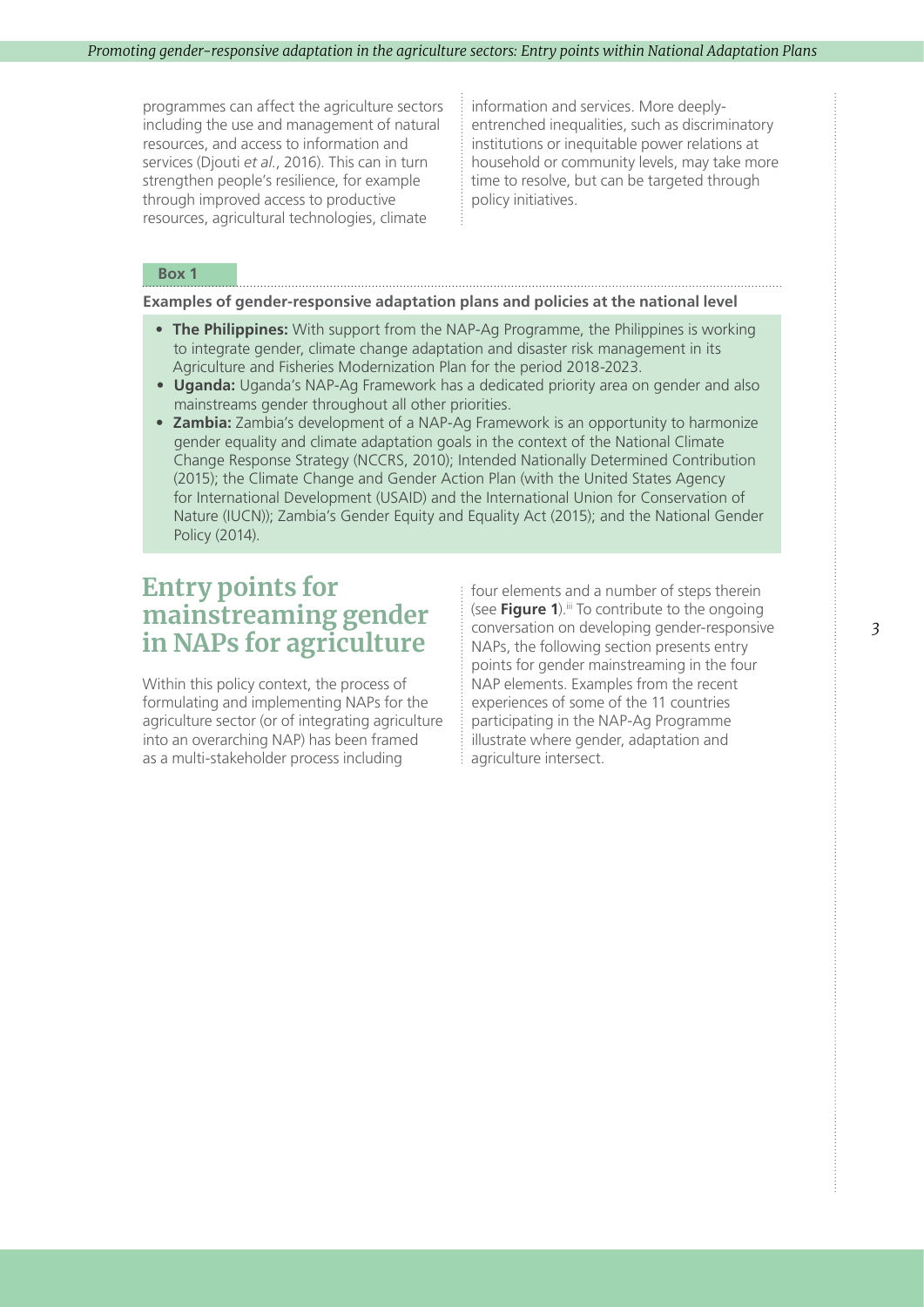programmes can affect the agriculture sectors including the use and management of natural resources, and access to information and services (Djouti *et al.*, 2016). This can in turn strengthen people's resilience, for example through improved access to productive resources, agricultural technologies, climate

information and services. More deeplyentrenched inequalities, such as discriminatory institutions or inequitable power relations at household or community levels, may take more time to resolve, but can be targeted through policy initiatives.

#### **Box 1**

**Examples of gender-responsive adaptation plans and policies at the national level**

• **The Philippines:** With support from the NAP-Ag Programme, the Philippines is working to integrate gender, climate change adaptation and disaster risk management in its Agriculture and Fisheries Modernization Plan for the period 2018-2023.

- **Uganda:** Uganda's NAP-Ag Framework has a dedicated priority area on gender and also mainstreams gender throughout all other priorities.
- **Zambia:** Zambia's development of a NAP-Ag Framework is an opportunity to harmonize gender equality and climate adaptation goals in the context of the National Climate Change Response Strategy (NCCRS, 2010); Intended Nationally Determined Contribution (2015); the Climate Change and Gender Action Plan (with the United States Agency for International Development (USAID) and the International Union for Conservation of Nature (IUCN)); Zambia's Gender Equity and Equality Act (2015); and the National Gender Policy (2014).

### **Entry points for mainstreaming gender in NAPs for agriculture**

Within this policy context, the process of formulating and implementing NAPs for the agriculture sector (or of integrating agriculture into an overarching NAP) has been framed as a multi-stakeholder process including

four elements and a number of steps therein (see **Figure 1**).<sup>iii</sup> To contribute to the ongoing conversation on developing gender-responsive NAPs, the following section presents entry points for gender mainstreaming in the four NAP elements. Examples from the recent experiences of some of the 11 countries participating in the NAP-Ag Programme illustrate where gender, adaptation and agriculture intersect.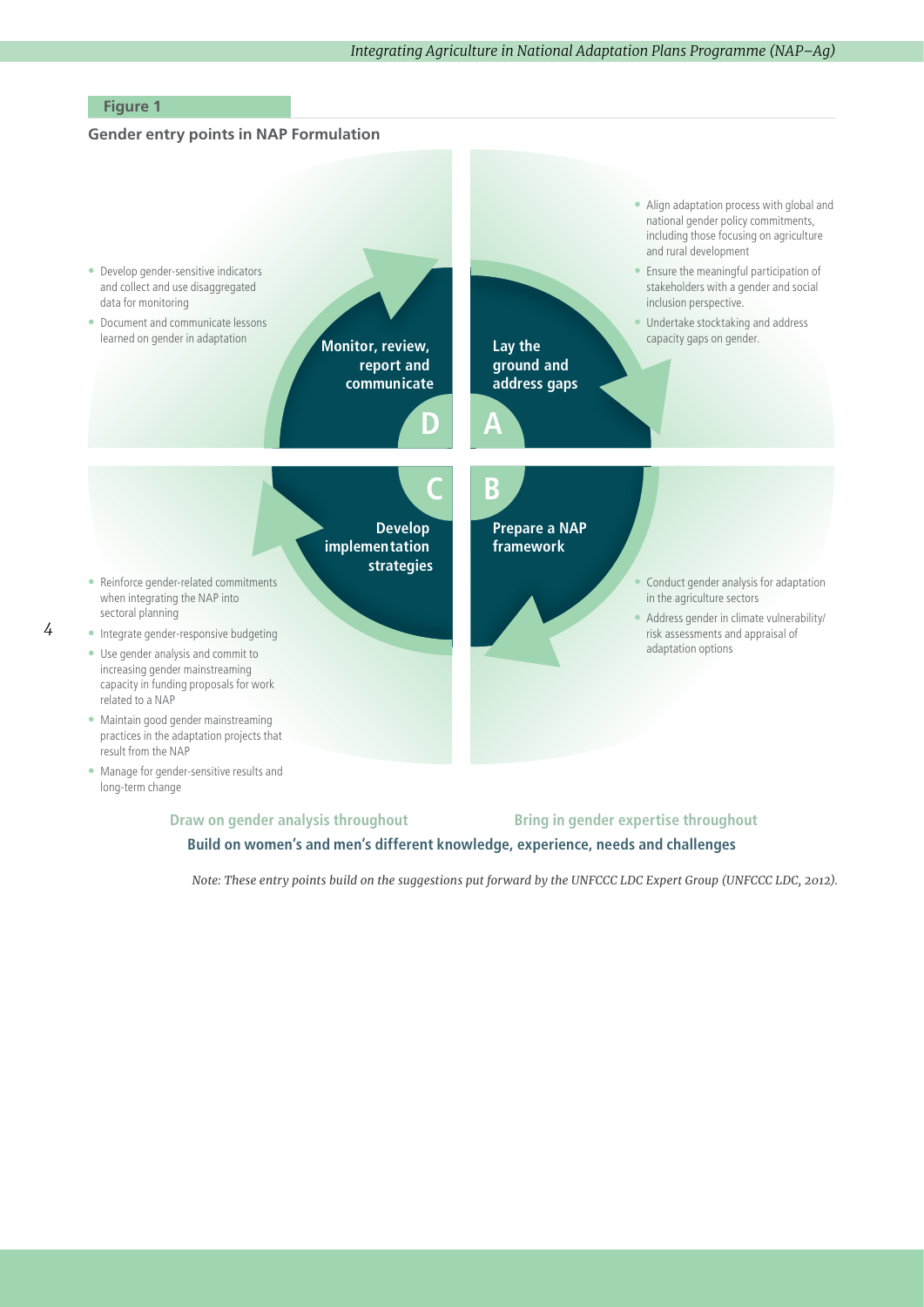#### **Figure 1**

*4*

### **Gender entry points in NAP Formulation**



**Build on women's and men's different knowledge, experience, needs and challenges** 

*Note: These entry points build on the suggestions put forward by the UNFCCC LDC Expert Group (UNFCCC LDC, 2012).*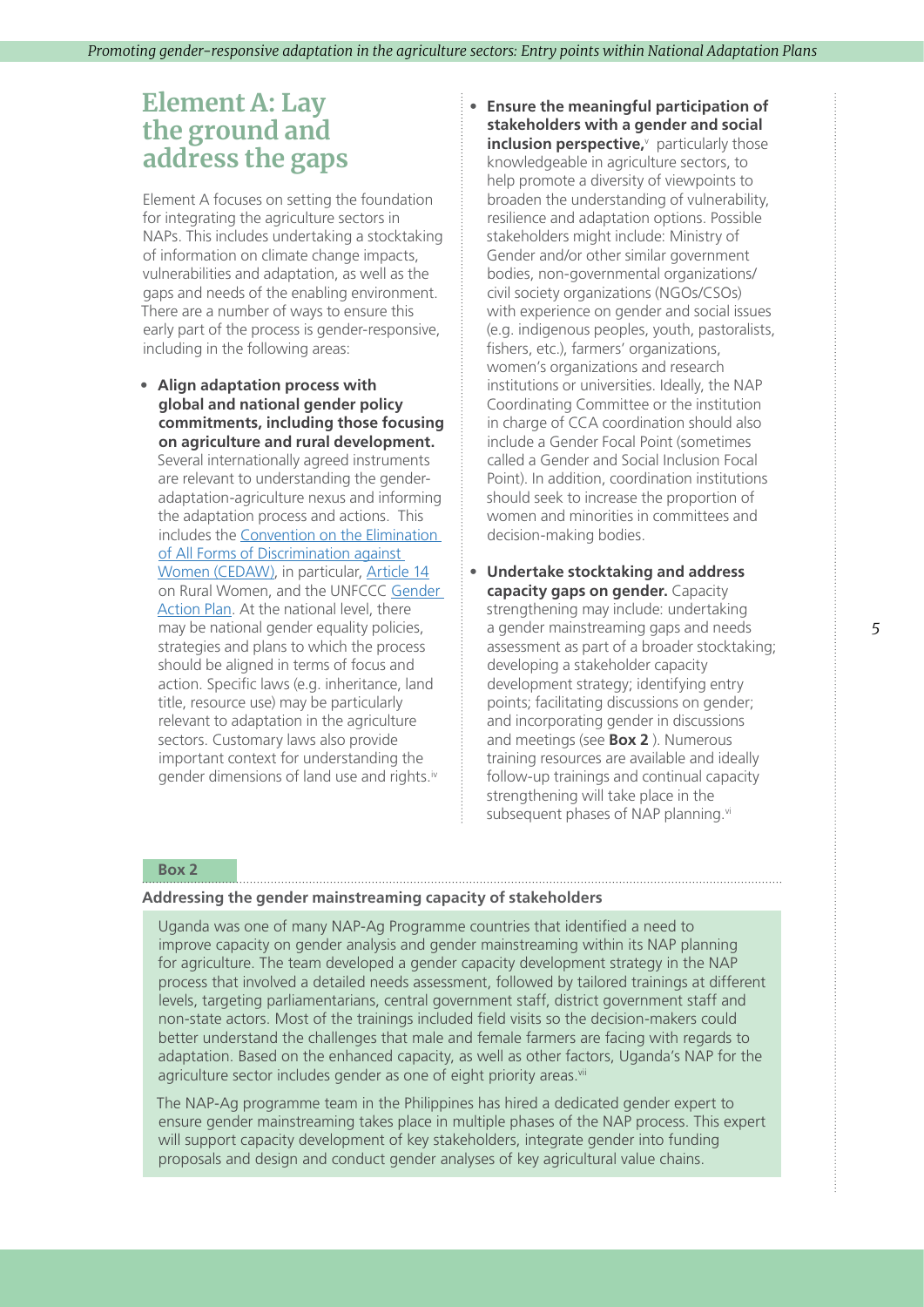### **Element A: Lay the ground and address the gaps**

Element A focuses on setting the foundation for integrating the agriculture sectors in NAPs. This includes undertaking a stocktaking of information on climate change impacts, vulnerabilities and adaptation, as well as the gaps and needs of the enabling environment. There are a number of ways to ensure this early part of the process is gender-responsive, including in the following areas:

**• Align adaptation process with global and national gender policy commitments, including those focusing on agriculture and rural development.** Several internationally agreed instruments are relevant to understanding the genderadaptation-agriculture nexus and informing the adaptation process and actions. This includes the [Convention on the Elimination](http://www.un.org/womenwatch/daw/cedaw/)  [of All Forms of Discrimination against](http://www.un.org/womenwatch/daw/cedaw/)  [Women \(CEDAW\),](http://www.un.org/womenwatch/daw/cedaw/) in particular, [Article 14](http://www.un.org/womenwatch/daw/cedaw/text/econvention.htm#article14) on Rural Women, and the UNFCCC [Gender](https://unfccc.int/files/meetings/bonn_nov_2017/application/pdf/cp23_auv_gender.pdf)  [Action Plan](https://unfccc.int/files/meetings/bonn_nov_2017/application/pdf/cp23_auv_gender.pdf). At the national level, there may be national gender equality policies, strategies and plans to which the process should be aligned in terms of focus and action. Specific laws (e.g. inheritance, land title, resource use) may be particularly relevant to adaptation in the agriculture sectors. Customary laws also provide important context for understanding the gender dimensions of land use and rights.<sup>[iv](#page-10-0)</sup>

**• Ensure the meaningful participation of stakeholders with a gender and social inclusion perspecti[v](#page-10-0)e,** particularly those knowledgeable in agriculture sectors, to help promote a diversity of viewpoints to broaden the understanding of vulnerability, resilience and adaptation options. Possible stakeholders might include: Ministry of Gender and/or other similar government bodies, non-governmental organizations/ civil society organizations (NGOs/CSOs) with experience on gender and social issues (e.g. indigenous peoples, youth, pastoralists, fishers, etc.), farmers' organizations, women's organizations and research institutions or universities. Ideally, the NAP Coordinating Committee or the institution in charge of CCA coordination should also include a Gender Focal Point (sometimes called a Gender and Social Inclusion Focal Point). In addition, coordination institutions should seek to increase the proportion of women and minorities in committees and decision-making bodies.

**• Undertake stocktaking and address capacity gaps on gender.** Capacity strengthening may include: undertaking a gender mainstreaming gaps and needs assessment as part of a broader stocktaking; developing a stakeholder capacity development strategy; identifying entry points; facilitating discussions on gender; and incorporating gender in discussions and meetings (see **Box 2** ). Numerous training resources are available and ideally follow-up trainings and continual capacity strengthening will take place in the subsequent phases of NAP planning.<sup>vi</sup>

#### **Box 2**

#### **Addressing the gender mainstreaming capacity of stakeholders**

Uganda was one of many NAP-Ag Programme countries that identified a need to improve capacity on gender analysis and gender mainstreaming within its NAP planning for agriculture. The team developed a gender capacity development strategy in the NAP process that involved a detailed needs assessment, followed by tailored trainings at different levels, targeting parliamentarians, central government staff, district government staff and non-state actors. Most of the trainings included field visits so the decision-makers could better understand the challenges that male and female farmers are facing with regards to adaptation. Based on the enhanced capacity, as well as other factors, Uganda's NAP for the agriculture sector includes gender as one of eight priority areas.<sup>[vii](#page-10-0)</sup>

The NAP-Ag programme team in the Philippines has hired a dedicated gender expert to ensure gender mainstreaming takes place in multiple phases of the NAP process. This expert will support capacity development of key stakeholders, integrate gender into funding proposals and design and conduct gender analyses of key agricultural value chains.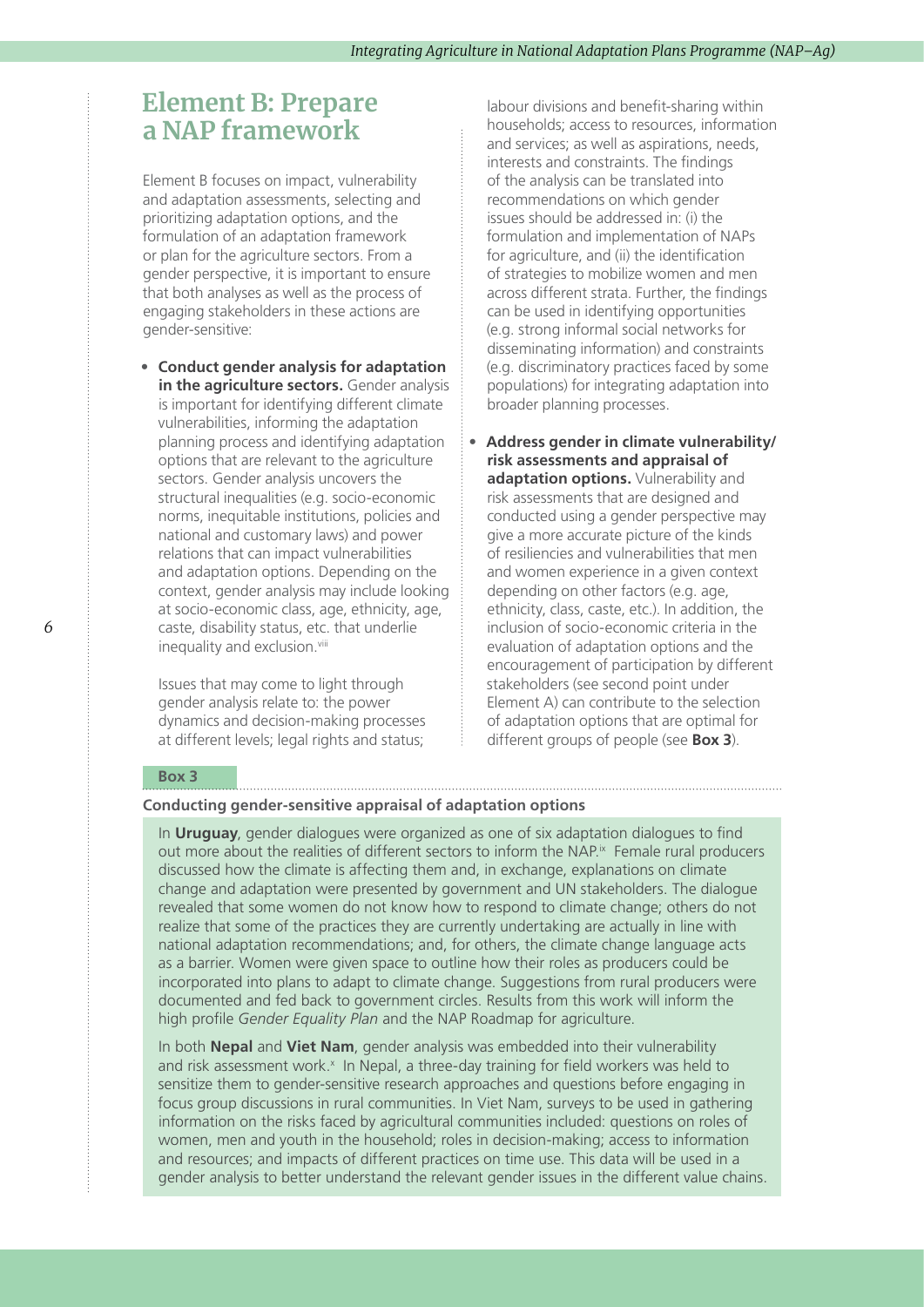### **Element B: Prepare a NAP framework**

Element B focuses on impact, vulnerability and adaptation assessments, selecting and prioritizing adaptation options, and the formulation of an adaptation framework or plan for the agriculture sectors. From a gender perspective, it is important to ensure that both analyses as well as the process of engaging stakeholders in these actions are gender-sensitive:

**• Conduct gender analysis for adaptation in the agriculture sectors.** Gender analysis is important for identifying different climate vulnerabilities, informing the adaptation planning process and identifying adaptation options that are relevant to the agriculture sectors. Gender analysis uncovers the structural inequalities (e.g. socio-economic norms, inequitable institutions, policies and national and customary laws) and power relations that can impact vulnerabilities and adaptation options. Depending on the context, gender analysis may include looking at socio-economic class, age, ethnicity, age, caste, disability status, etc. that underlie inequality and exclusion.[viii](#page-10-0)

Issues that may come to light through gender analysis relate to: the power dynamics and decision-making processes at different levels; legal rights and status;

labour divisions and benefit-sharing within households; access to resources, information and services; as well as aspirations, needs, interests and constraints. The findings of the analysis can be translated into recommendations on which gender issues should be addressed in: (i) the formulation and implementation of NAPs for agriculture, and (ii) the identification of strategies to mobilize women and men across different strata. Further, the findings can be used in identifying opportunities (e.g. strong informal social networks for disseminating information) and constraints (e.g. discriminatory practices faced by some populations) for integrating adaptation into broader planning processes.

**• Address gender in climate vulnerability/ risk assessments and appraisal of adaptation options.** Vulnerability and risk assessments that are designed and conducted using a gender perspective may give a more accurate picture of the kinds of resiliencies and vulnerabilities that men and women experience in a given context depending on other factors (e.g. age, ethnicity, class, caste, etc.). In addition, the inclusion of socio-economic criteria in the evaluation of adaptation options and the encouragement of participation by different stakeholders (see second point under Element A) can contribute to the selection of adaptation options that are optimal for different groups of people (see **Box 3**).

#### **Box 3**

#### **Conducting gender-sensitive appraisal of adaptation options**

In **Uruguay**, gender dialogues were organized as one of six adaptation dialogues to find out more about the realities of different sectors to inform the NAP.<sup>ix</sup> Female rural producers discussed how the climate is affecting them and, in exchange, explanations on climate change and adaptation were presented by government and UN stakeholders. The dialogue revealed that some women do not know how to respond to climate change; others do not realize that some of the practices they are currently undertaking are actually in line with national adaptation recommendations; and, for others, the climate change language acts as a barrier. Women were given space to outline how their roles as producers could be incorporated into plans to adapt to climate change. Suggestions from rural producers were documented and fed back to government circles. Results from this work will inform the high profile *Gender Equality Plan* and the NAP Roadmap for agriculture.

In both **Nepal** and **Viet Nam**, gender analysis was embedded into their vulnerability and risk assessment work.<sup>[x](#page-10-0)</sup> In Nepal, a three-day training for field workers was held to sensitize them to gender-sensitive research approaches and questions before engaging in focus group discussions in rural communities. In Viet Nam, surveys to be used in gathering information on the risks faced by agricultural communities included: questions on roles of women, men and youth in the household; roles in decision-making; access to information and resources; and impacts of different practices on time use. This data will be used in a gender analysis to better understand the relevant gender issues in the different value chains.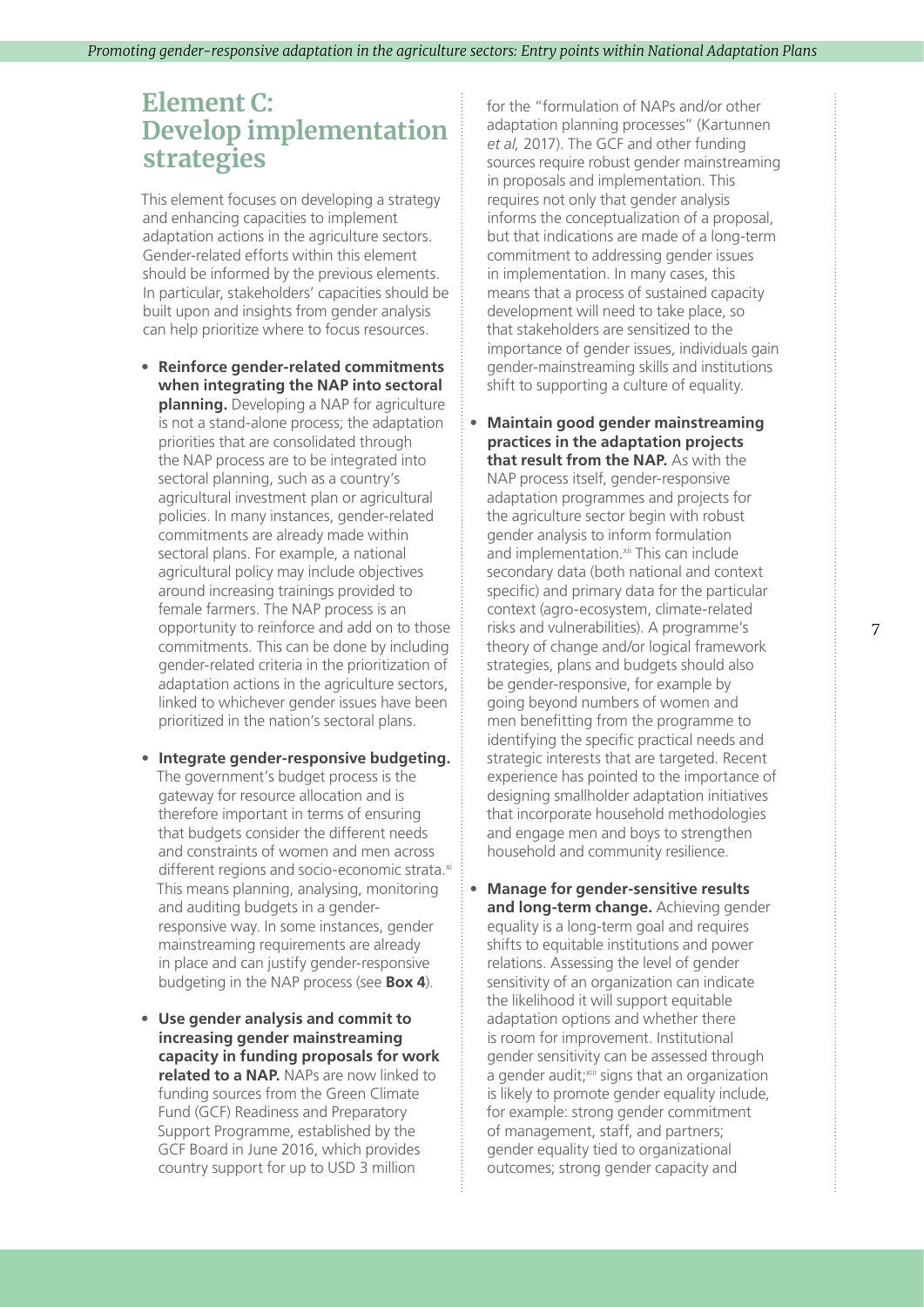# **Element C: Develop implementation strategies**

This element focuses on developing a strategy and enhancing capacities to implement adaptation actions in the agriculture sectors. Gender-related efforts within this element should be informed by the previous elements. In particular, stakeholders' capacities should be built upon and insights from gender analysis can help prioritize where to focus resources.

- **• Reinforce gender-related commitments when integrating the NAP into sectoral planning.** Developing a NAP for agriculture is not a stand-alone process; the adaptation priorities that are consolidated through the NAP process are to be integrated into sectoral planning, such as a country's agricultural investment plan or agricultural policies. In many instances, gender-related commitments are already made within sectoral plans. For example, a national agricultural policy may include objectives around increasing trainings provided to female farmers. The NAP process is an opportunity to reinforce and add on to those commitments. This can be done by including gender-related criteria in the prioritization of adaptation actions in the agriculture sectors, linked to whichever gender issues have been prioritized in the nation's sectoral plans.
- **• Integrate gender-responsive budgeting.** The government's budget process is the gateway for resource allocation and is therefore important in terms of ensuring that budgets consider the different needs and constraints of women and men across different regions and socio-economic strata[.xi](#page-10-0) This means planning, analysing, monitoring and auditing budgets in a genderresponsive way. In some instances, gender mainstreaming requirements are already in place and can justify gender-responsive budgeting in the NAP process (see **Box 4**).
- **• Use gender analysis and commit to increasing gender mainstreaming capacity in funding proposals for work related to a NAP.** NAPs are now linked to funding sources from the Green Climate Fund (GCF) Readiness and Preparatory Support Programme, established by the GCF Board in June 2016, which provides country support for up to USD 3 million

for the "formulation of NAPs and/or other adaptation planning processes" (Kartunnen *et al,* 2017). The GCF and other funding sources require robust gender mainstreaming in proposals and implementation. This requires not only that gender analysis informs the conceptualization of a proposal, but that indications are made of a long-term commitment to addressing gender issues in implementation. In many cases, this means that a process of sustained capacity development will need to take place, so that stakeholders are sensitized to the importance of gender issues, individuals gain gender-mainstreaming skills and institutions shift to supporting a culture of equality.

- **• Maintain good gender mainstreaming practices in the adaptation projects that result from the NAP.** As with the NAP process itself, gender-responsive adaptation programmes and projects for the agriculture sector begin with robust gender analysis to inform formulation and implementation.<sup>xii</sup> This can include secondary data (both national and context specific) and primary data for the particular context (agro-ecosystem, climate-related risks and vulnerabilities). A programme's theory of change and/or logical framework strategies, plans and budgets should also be gender-responsive, for example by going beyond numbers of women and men benefitting from the programme to identifying the specific practical needs and strategic interests that are targeted. Recent experience has pointed to the importance of designing smallholder adaptation initiatives that incorporate household methodologies and engage men and boys to strengthen household and community resilience.
- **• Manage for gender-sensitive results and long-term change.** Achieving gender equality is a long-term goal and requires shifts to equitable institutions and power relations. Assessing the level of gender sensitivity of an organization can indicate the likelihood it will support equitable adaptation options and whether there is room for improvement. Institutional gender sensitivity can be assessed through a gender audit;<sup>[xiii](#page-10-0)</sup> signs that an organization is likely to promote gender equality include, for example: strong gender commitment of management, staff, and partners; gender equality tied to organizational outcomes; strong gender capacity and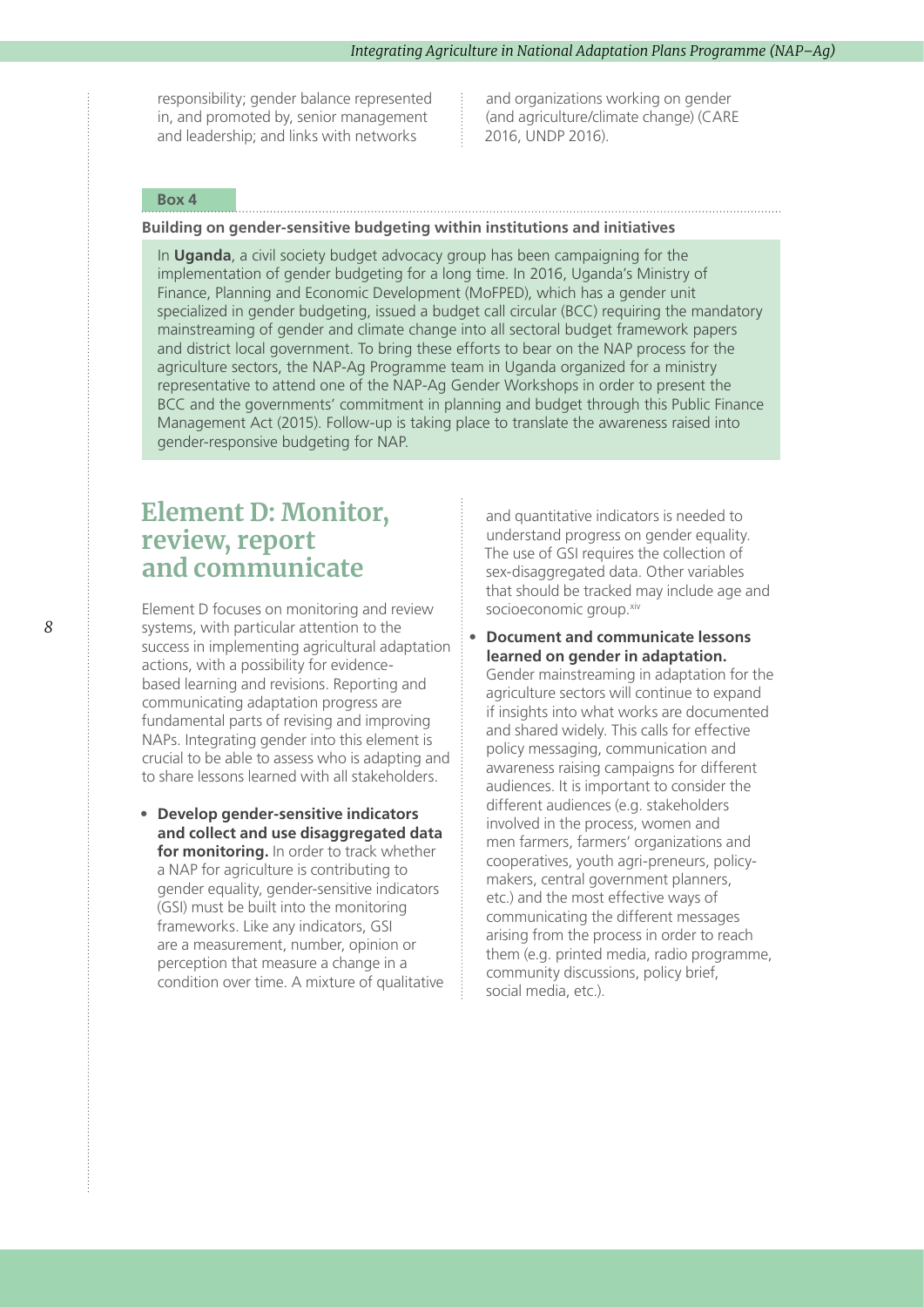responsibility; gender balance represented in, and promoted by, senior management and leadership; and links with networks

and organizations working on gender (and agriculture/climate change) (CARE 2016, UNDP 2016).

#### **Box 4**

#### **Building on gender-sensitive budgeting within institutions and initiatives**

In **Uganda**, a civil society budget advocacy group has been campaigning for the implementation of gender budgeting for a long time. In 2016, Uganda's Ministry of Finance, Planning and Economic Development (MoFPED), which has a gender unit specialized in gender budgeting, issued a budget call circular (BCC) requiring the mandatory mainstreaming of gender and climate change into all sectoral budget framework papers and district local government. To bring these efforts to bear on the NAP process for the agriculture sectors, the NAP-Ag Programme team in Uganda organized for a ministry representative to attend one of the NAP-Ag Gender Workshops in order to present the BCC and the governments' commitment in planning and budget through this Public Finance Management Act (2015). Follow-up is taking place to translate the awareness raised into gender-responsive budgeting for NAP.

### **Element D: Monitor, review, report and communicate**

Element D focuses on monitoring and review systems, with particular attention to the success in implementing agricultural adaptation actions, with a possibility for evidencebased learning and revisions. Reporting and communicating adaptation progress are fundamental parts of revising and improving NAPs. Integrating gender into this element is crucial to be able to assess who is adapting and to share lessons learned with all stakeholders.

**• Develop gender-sensitive indicators and collect and use disaggregated data for monitoring.** In order to track whether a NAP for agriculture is contributing to gender equality, gender-sensitive indicators (GSI) must be built into the monitoring frameworks. Like any indicators, GSI are a measurement, number, opinion or perception that measure a change in a condition over time. A mixture of qualitative

and quantitative indicators is needed to understand progress on gender equality. The use of GSI requires the collection of sex-disaggregated data. Other variables that should be tracked may include age and socioeconomic group[.xiv](#page-10-0)

**• Document and communicate lessons learned on gender in adaptation.**  Gender mainstreaming in adaptation for the agriculture sectors will continue to expand if insights into what works are documented and shared widely. This calls for effective policy messaging, communication and awareness raising campaigns for different audiences. It is important to consider the different audiences (e.g. stakeholders involved in the process, women and men farmers, farmers' organizations and cooperatives, youth agri-preneurs, policymakers, central government planners, etc.) and the most effective ways of communicating the different messages arising from the process in order to reach them (e.g. printed media, radio programme, community discussions, policy brief, social media, etc.).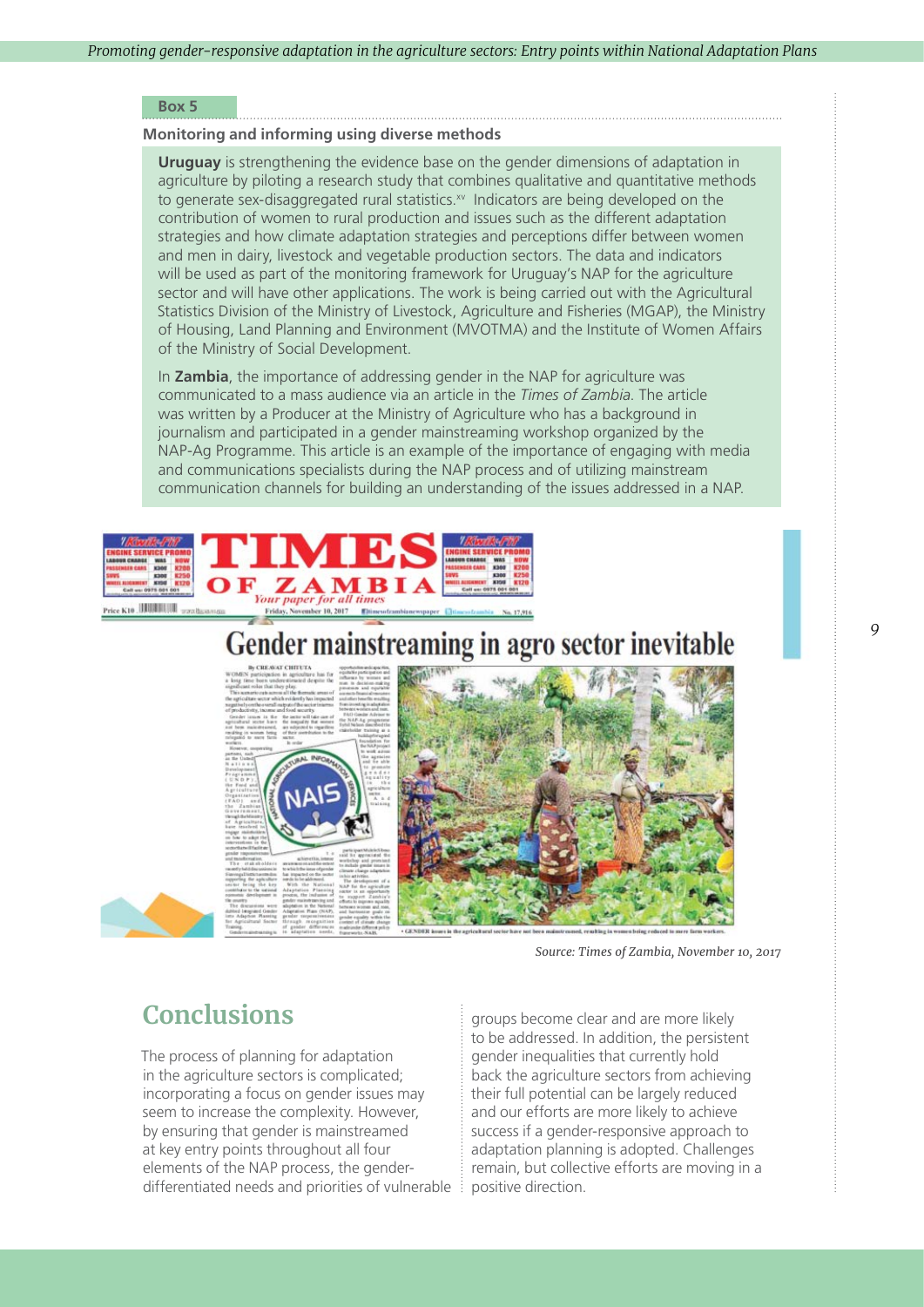#### **Box 5**

#### **Monitoring and informing using diverse methods**

**Uruguay** is strengthening the evidence base on the gender dimensions of adaptation in agriculture by piloting a research study that combines qualitative and quantitative methods to generate sex-disaggregated rural statistics[.xv](#page-10-0) Indicators are being developed on the contribution of women to rural production and issues such as the different adaptation strategies and how climate adaptation strategies and perceptions differ between women and men in dairy, livestock and vegetable production sectors. The data and indicators will be used as part of the monitoring framework for Uruguay's NAP for the agriculture sector and will have other applications. The work is being carried out with the Agricultural Statistics Division of the Ministry of Livestock, Agriculture and Fisheries (MGAP), the Ministry of Housing, Land Planning and Environment (MVOTMA) and the Institute of Women Affairs of the Ministry of Social Development.

In **Zambia**, the importance of addressing gender in the NAP for agriculture was communicated to a mass audience via an article in the *Times of Zambia*. The article was written by a Producer at the Ministry of Agriculture who has a background in journalism and participated in a gender mainstreaming workshop organized by the NAP-Ag Programme. This article is an example of the importance of engaging with media and communications specialists during the NAP process and of utilizing mainstream communication channels for building an understanding of the issues addressed in a NAP.



# ender mainstreaming in agro sector inevitable



 *Source: Times of Zambia, November 10, 2017*

# **Conclusions**

The process of planning for adaptation in the agriculture sectors is complicated; incorporating a focus on gender issues may seem to increase the complexity. However, by ensuring that gender is mainstreamed at key entry points throughout all four elements of the NAP process, the genderdifferentiated needs and priorities of vulnerable positive direction.

groups become clear and are more likely to be addressed. In addition, the persistent gender inequalities that currently hold back the agriculture sectors from achieving their full potential can be largely reduced and our efforts are more likely to achieve success if a gender-responsive approach to adaptation planning is adopted. Challenges remain, but collective efforts are moving in a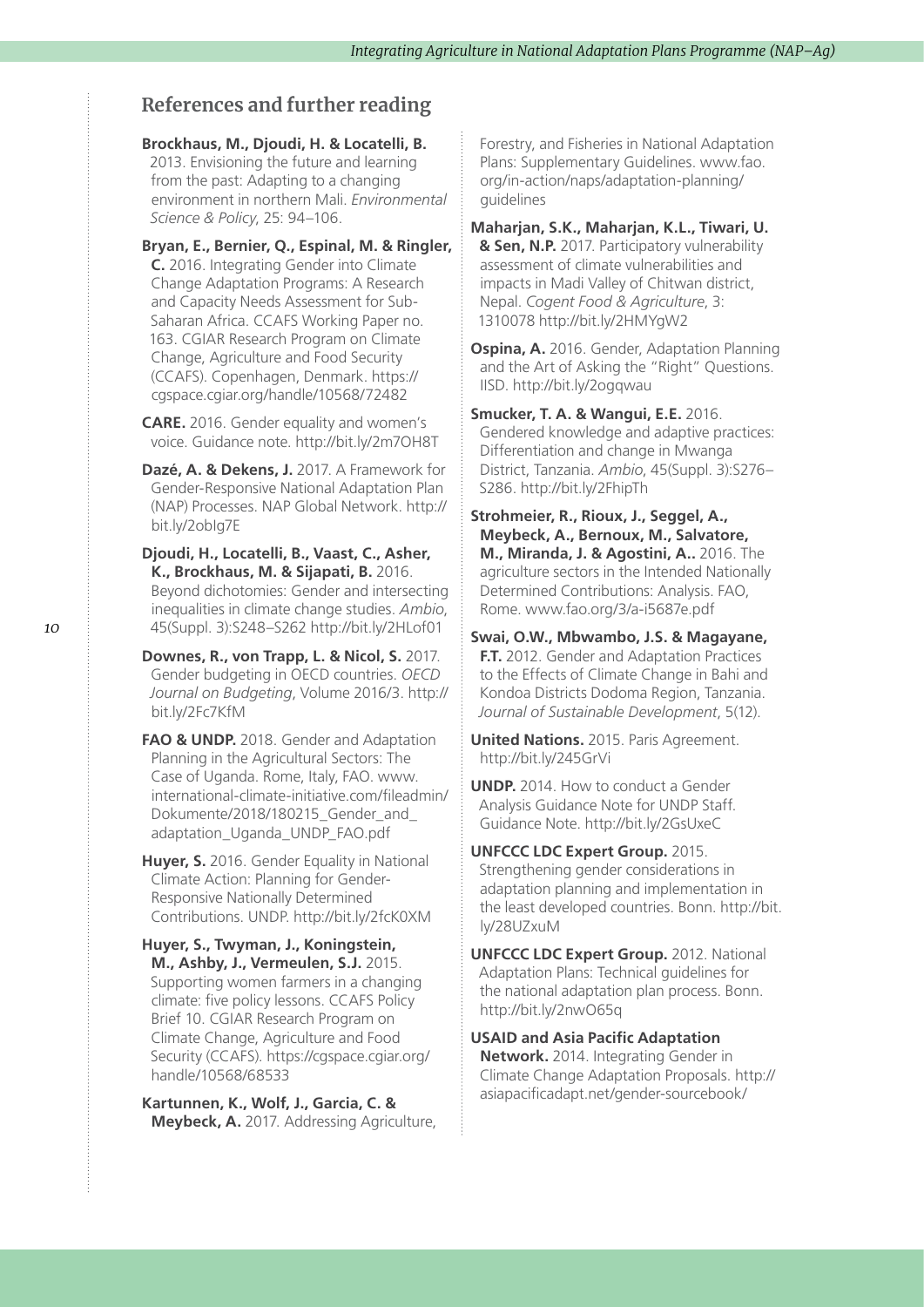### **References and further reading**

#### **Brockhaus, M., Djoudi, H. & Locatelli, B.**

2013. Envisioning the future and learning from the past: Adapting to a changing environment in northern Mali. *Environmental Science & Policy*, 25: 94–106.

**Bryan, E., Bernier, Q., Espinal, M. & Ringler, C.** 2016. Integrating Gender into Climate Change Adaptation Programs: A Research and Capacity Needs Assessment for Sub-Saharan Africa. CCAFS Working Paper no. 163. CGIAR Research Program on Climate Change, Agriculture and Food Security (CCAFS). Copenhagen, Denmark. https:// cgspace.cgiar.org/handle/10568/72482

**CARE.** 2016. Gender equality and women's voice. Guidance note. http://bit.ly/2m7OH8T

**Dazé, A. & Dekens, J.** 2017. A Framework for Gender-Responsive National Adaptation Plan (NAP) Processes. NAP Global Network. http:// bit.ly/2obIg7E

**Djoudi, H., Locatelli, B., Vaast, C., Asher, K., Brockhaus, M. & Sijapati, B.** 2016. Beyond dichotomies: Gender and intersecting inequalities in climate change studies. *Ambio*, 45(Suppl. 3):S248–S262 http://bit.ly/2HLof01

**Downes, R., von Trapp, L. & Nicol, S.** 2017. Gender budgeting in OECD countries. *OECD Journal on Budgeting*, Volume 2016/3. http:// bit.ly/2Fc7KfM

**FAO & UNDP.** 2018. Gender and Adaptation Planning in the Agricultural Sectors: The Case of Uganda. Rome, Italy, FAO. www. international-climate-initiative.com/fileadmin/ Dokumente/2018/180215\_Gender\_and adaptation\_Uganda\_UNDP\_FAO.pdf

**Huver, S.** 2016. Gender Equality in National Climate Action: Planning for Gender-Responsive Nationally Determined Contributions. UNDP. http://bit.ly/2fcK0XM

**Huyer, S., Twyman, J., Koningstein, M., Ashby, J., Vermeulen, S.J.** 2015. Supporting women farmers in a changing climate: five policy lessons. CCAFS Policy Brief 10. CGIAR Research Program on Climate Change, Agriculture and Food Security (CCAFS). https://cgspace.cgiar.org/ handle/10568/68533

**Kartunnen, K., Wolf, J., Garcia, C. & Meybeck, A.** 2017. Addressing Agriculture, Forestry, and Fisheries in National Adaptation Plans: Supplementary Guidelines. www.fao. org/in-action/naps/adaptation-planning/ guidelines

**Maharjan, S.K., Maharjan, K.L., Tiwari, U. & Sen, N.P.** 2017. Participatory vulnerability assessment of climate vulnerabilities and impacts in Madi Valley of Chitwan district, Nepal. *Cogent Food & Agriculture*, 3: 1310078 http://bit.ly/2HMYgW2

**Ospina, A.** 2016. Gender, Adaptation Planning and the Art of Asking the "Right" Questions. IISD. http://bit.ly/2ogqwau

**Smucker, T. A. & Wangui, E.E.** 2016. Gendered knowledge and adaptive practices: Differentiation and change in Mwanga District, Tanzania. *Ambio*, 45(Suppl. 3):S276– S286. http://bit.ly/2FhipTh

**Strohmeier, R., Rioux, J., Seggel, A., Meybeck, A., Bernoux, M., Salvatore, M., Miranda, J. & Agostini, A..** 2016. The agriculture sectors in the Intended Nationally Determined Contributions: Analysis. FAO, Rome. www.fao.org/3/a-i5687e.pdf

**Swai, O.W., Mbwambo, J.S. & Magayane, F.T.** 2012. Gender and Adaptation Practices to the Effects of Climate Change in Bahi and Kondoa Districts Dodoma Region, Tanzania. *Journal of Sustainable Development*, 5(12).

**United Nations.** 2015. Paris Agreement. http://bit.ly/245GrVi

**UNDP.** 2014. How to conduct a Gender Analysis Guidance Note for UNDP Staff. Guidance Note. http://bit.ly/2GsUxeC

**UNFCCC LDC Expert Group.** 2015. Strengthening gender considerations in adaptation planning and implementation in the least developed countries. Bonn. http://bit. ly/28UZxuM

**UNFCCC LDC Expert Group.** 2012. National Adaptation Plans: Technical guidelines for the national adaptation plan process. Bonn. http://bit.ly/2nwO65q

**USAID and Asia Pacific Adaptation Network.** 2014. Integrating Gender in Climate Change Adaptation Proposals. http:// asiapacificadapt.net/gender-sourcebook/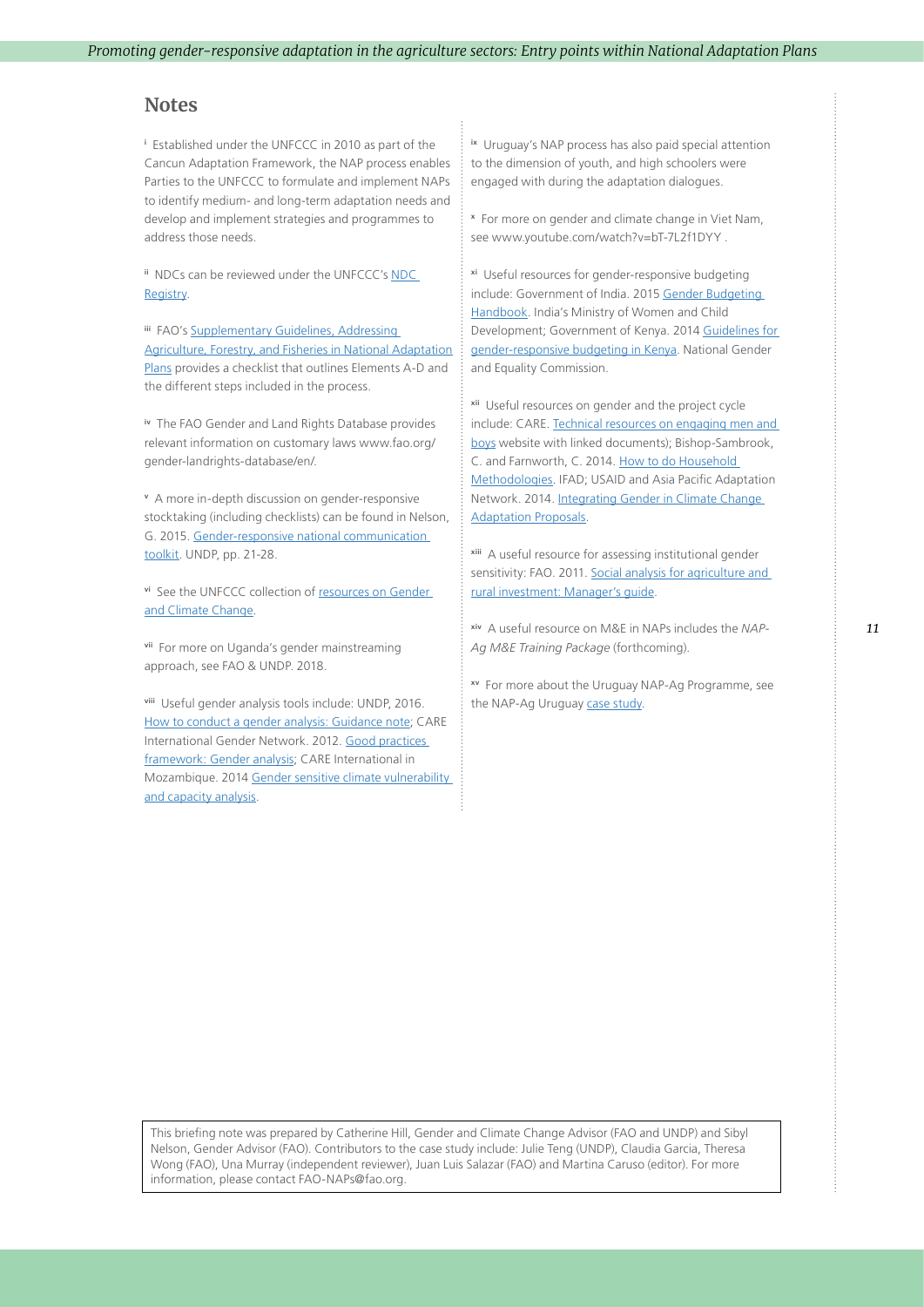#### <span id="page-10-0"></span>**Notes**

**<sup>i</sup>** Established under the UNFCCC in 2010 as part of the Cancun Adaptation Framework, the NAP process enables Parties to the UNFCCC to formulate and implement NAPs to identify medium- and long-term adaptation needs and develop and implement strategies and programmes to address those needs.

**ii** NDCs can be reviewed under the UNFCCC's [NDC](http://unfccc.int/focus/ndc_registry/items/9433.php)  [Registry](http://unfccc.int/focus/ndc_registry/items/9433.php).

**iii** FAO's Supplementary Guidelines, Addressing [Agriculture, Forestry, and Fisheries in National Adaptation](http://www.fao.org/3/a-i6714e.pdf)  [Plans](http://www.fao.org/3/a-i6714e.pdf) provides a checklist that outlines Elements A-D and the different steps included in the process.

**iv** The FAO Gender and Land Rights Database provides relevant information on customary laws www.fao.org/ gender-landrights-database/en/.

**<sup>v</sup>** A more in-depth discussion on gender-responsive stocktaking (including checklists) can be found in Nelson, G. 2015. [Gender-responsive national communication](http://www.undp.org/content/undp/en/home/librarypage/womens-empowerment/gender-responsive-national-communications.html)  [toolkit](http://www.undp.org/content/undp/en/home/librarypage/womens-empowerment/gender-responsive-national-communications.html). UNDP, pp. 21-28.

**vi** See the UNFCCC collection of [resources on Gender](http://unfccc.int/gender_and_climate_change/items/9397.php)  [and Climate Change](http://unfccc.int/gender_and_climate_change/items/9397.php).

**vii** For more on Uganda's gender mainstreaming approach, see FAO & UNDP. 2018.

**viii** Useful gender analysis tools include: UNDP, 2016. [How to conduct a gender analysis: Guidance note](https://info.undp.org/sites/bpps/SES_Toolkit/SES%20Document%20Library/Uploaded%20October%202016/UNDP%20Guidance%20Note%20how%20to%20conduct%20a%20gender%20analysis.pdf); CARE International Gender Network. 2012. [Good practices](https://www.care.org.au/wp-content/uploads/2015/02/Good-Practices-Brief.pdf)  [framework: Gender analysis](https://www.care.org.au/wp-content/uploads/2015/02/Good-Practices-Brief.pdf); CARE International in Mozambique. 2014 [Gender sensitive climate vulnerability](https://careclimatechange.org/wp-content/uploads/2016/02/GCVCA_Practitioners-Guide-FINAL-July-2014.pdf)  [and capacity analysis.](https://careclimatechange.org/wp-content/uploads/2016/02/GCVCA_Practitioners-Guide-FINAL-July-2014.pdf)

**ix** Uruguay's NAP process has also paid special attention to the dimension of youth, and high schoolers were engaged with during the adaptation dialogues.

**<sup>x</sup>** For more on gender and climate change in Viet Nam, see www.youtube.com/watch?v=bT-7L2f1DYY .

**xi** Useful resources for gender-responsive budgeting include: Government of India. 2015 Gender Budgeting [Handbook.](http://wcd.nic.in/sites/default/files/GB%20-%20Handbook%20October%202015.pdf) India's Ministry of Women and Child Development; Government of Kenya. 2014 [Guidelines for](http://www.ngeckenya.org/Downloads/NGEC-GRB-Guidelines-for-National-Govt-in-Kenya.pdf)  [gender-responsive budgeting in Kenya](http://www.ngeckenya.org/Downloads/NGEC-GRB-Guidelines-for-National-Govt-in-Kenya.pdf). National Gender and Equality Commission.

**xii** Useful resources on gender and the project cycle include: CARE. [Technical resources on engaging men and](http://www.care.org/our-work/womens-empowerment/what-about-men-boys/technical-resources-engaging-men-and-boys)  [boys](http://www.care.org/our-work/womens-empowerment/what-about-men-boys/technical-resources-engaging-men-and-boys) website with linked documents); Bishop-Sambrook, C. and Farnworth, C. 2014. [How to do Household](https://www.ifad.org/documents/38714170/40198517/How+To+Do+Household+Methodologies.pdf/564875ac-af4b-4409-9271-0c90ff464b3b)  [Methodologies](https://www.ifad.org/documents/38714170/40198517/How+To+Do+Household+Methodologies.pdf/564875ac-af4b-4409-9271-0c90ff464b3b). IFAD; USAID and Asia Pacific Adaptation Network. 2014. [Integrating Gender in Climate Change](http://asiapacificadapt.net/gender-sourcebook/)  [Adaptation Proposals.](http://asiapacificadapt.net/gender-sourcebook/)

**xiii** A useful resource for assessing institutional gender sensitivity: FAO. 2011. Social analysis for agriculture and [rural investment: Manager's guide.](http://www.fao.org/docrep/014/i2816e/i2816e00.pdf)

**xiv** A useful resource on M&E in NAPs includes the *NAP-Ag M&E Training Package* (forthcoming).

**xv** For more about the Uruguay NAP-Ag Programme, see the NAP-Ag Uruguay [case study.](http://www.fao.org/3/a-i8237e.pdf)

This briefing note was prepared by Catherine Hill, Gender and Climate Change Advisor (FAO and UNDP) and Sibyl Nelson, Gender Advisor (FAO). Contributors to the case study include: Julie Teng (UNDP), Claudia Garcia, Theresa Wong (FAO), Una Murray (independent reviewer), Juan Luis Salazar (FAO) and Martina Caruso (editor). For more information, please contact FAO-NAPs@fao.org.